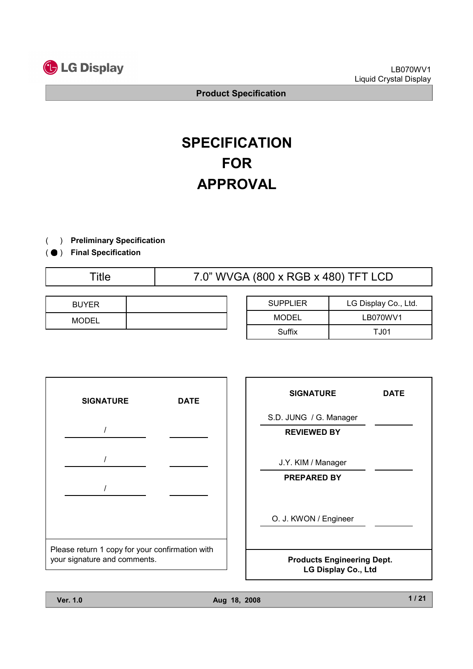

# **SPECIFICATION** FOR APPROVAL

- ) Preliminary Specification(
- ) ( Final Specification
	-

Title 7.0" WVGA (800 x RGB x 480) TFT LCD

| <b>BUYER</b> |  |
|--------------|--|
| <b>MODEL</b> |  |

| <b>SUPPLIER</b> | LG Display Co., Ltd. |
|-----------------|----------------------|
| MODEL           | LB070WV1             |
| Suffix          | T.J01                |



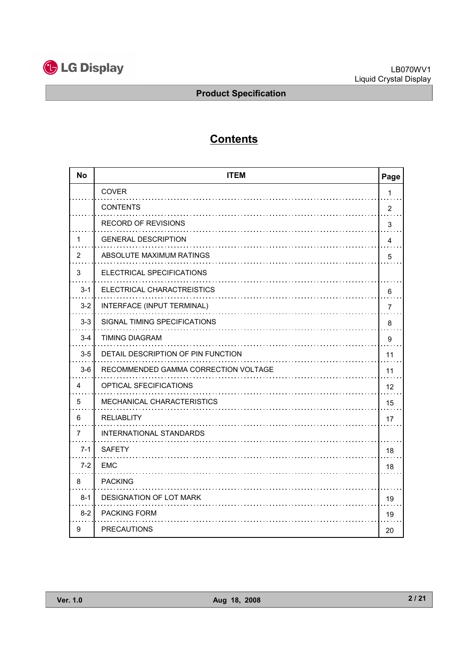

# **Contents**

| <b>No</b> | <b>ITEM</b>                          | Page           |
|-----------|--------------------------------------|----------------|
|           | <b>COVER</b>                         | 1              |
|           | <b>CONTENTS</b>                      | $\overline{2}$ |
|           | <b>RECORD OF REVISIONS</b>           | 3              |
| 1         | <b>GENERAL DESCRIPTION</b>           | 4              |
| 2         | ABSOLUTE MAXIMUM RATINGS             | 5              |
| 3         | ELECTRICAL SPECIFICATIONS            |                |
| $3 - 1$   | ELECTRICAL CHARACTREISTICS           | 6              |
| $3 - 2$   | INTERFACE (INPUT TERMINAL)           | 7              |
| $3 - 3$   | SIGNAL TIMING SPECIFICATIONS         | 8              |
| $3 - 4$   | <b>TIMING DIAGRAM</b>                | 9              |
| $3-5$     | DETAIL DESCRIPTION OF PIN FUNCTION   | 11             |
| $3-6$     | RECOMMENDED GAMMA CORRECTION VOLTAGE | 11             |
| 4         | OPTICAL SFECIFICATIONS               | 12             |
| 5         | MECHANICAL CHARACTERISTICS           | 15             |
| 6         | <b>RELIABLITY</b>                    | 17             |
| 7         | <b>INTERNATIONAL STANDARDS</b>       |                |
| $7 - 1$   | <b>SAFETY</b>                        | 18             |
| $7 - 2$   | <b>EMC</b>                           | 18             |
| 8         | <b>PACKING</b>                       |                |
| $8 - 1$   | <b>DESIGNATION OF LOT MARK</b>       | 19             |
| $8 - 2$   | <b>PACKING FORM</b>                  | 19             |
| 9         | <b>PRECAUTIONS</b>                   | 20             |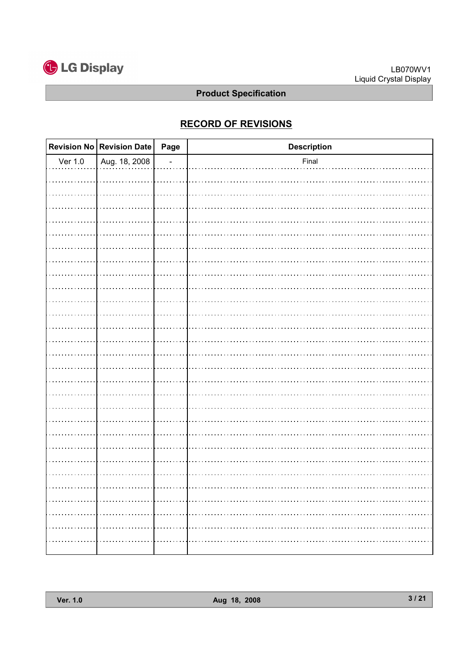

# RECORD OF REVISIONS

|             | Revision No $\vert$ Revision Date $\vert$ | Page           | <b>Description</b> |
|-------------|-------------------------------------------|----------------|--------------------|
| Ver $1.0$   | Aug. 18, 2008                             | $\overline{a}$ | Final              |
|             |                                           |                |                    |
|             |                                           |                |                    |
|             |                                           |                |                    |
|             |                                           |                |                    |
|             |                                           |                |                    |
|             |                                           |                |                    |
|             |                                           |                |                    |
|             |                                           |                |                    |
|             |                                           |                |                    |
|             |                                           |                |                    |
|             |                                           |                |                    |
|             |                                           |                |                    |
|             |                                           |                |                    |
|             |                                           |                |                    |
|             |                                           |                |                    |
|             |                                           |                |                    |
|             |                                           |                |                    |
|             |                                           |                |                    |
|             |                                           |                |                    |
|             |                                           |                |                    |
|             |                                           |                |                    |
|             |                                           |                |                    |
|             |                                           |                |                    |
|             |                                           |                |                    |
| .           | .                                         |                | .<br>.             |
| $\sim$<br>. | .                                         | .              |                    |
|             |                                           |                |                    |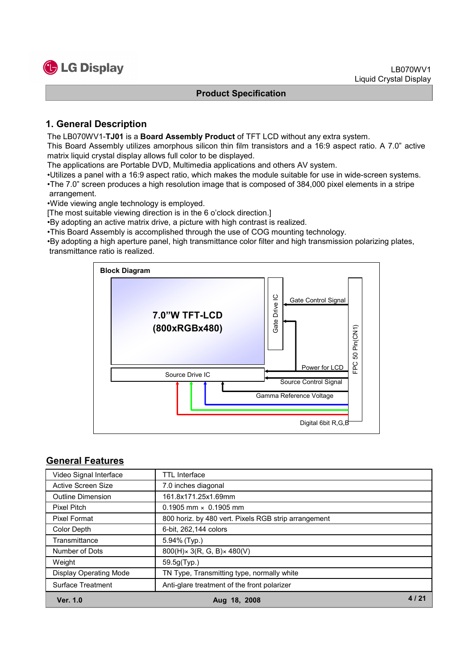

## 1. General Description

The LB070WV1-TJ01 is a Board Assembly Product of TFT LCD without any extra system.

This Board Assembly utilizes amorphous silicon thin film transistors and a 16:9 aspect ratio. A 7.0" active matrix liquid crystal display allows full color to be displayed.

The applications are Portable DVD, Multimedia applications and others AV system.

•Utilizes a panel with a 16:9 aspect ratio, which makes the module suitable for use in wide-screen systems.

•The 7.0" screen produces a high resolution image that is composed of 384,000 pixel elements in a stripe arrangement.

•Wide viewing angle technology is employed.

[The most suitable viewing direction is in the 6 o'clock direction.]

•By adopting an active matrix drive, a picture with high contrast is realized.

•This Board Assembly is accomplished through the use of COG mounting technology.

•By adopting a high aperture panel, high transmittance color filter and high transmission polarizing plates, transmittance ratio is realized.



#### General Features

| Video Signal Interface        | TTL Interface                                        |  |
|-------------------------------|------------------------------------------------------|--|
| <b>Active Screen Size</b>     | 7.0 inches diagonal                                  |  |
| <b>Outline Dimension</b>      | 161.8x171.25x1.69mm                                  |  |
| <b>Pixel Pitch</b>            | $0.1905$ mm $\times$ 0.1905 mm                       |  |
| <b>Pixel Format</b>           | 800 horiz. by 480 vert. Pixels RGB strip arrangement |  |
| Color Depth                   | 6-bit, 262,144 colors                                |  |
| Transmittance                 | 5.94% (Typ.)                                         |  |
| Number of Dots                | $800(H) \times 3(R, G, B) \times 480(V)$             |  |
| Weight                        | 59.5g(Typ.)                                          |  |
| <b>Display Operating Mode</b> | TN Type, Transmitting type, normally white           |  |
| Surface Treatment             | Anti-glare treatment of the front polarizer          |  |
| Ver. 1.0                      | Aug 18, 2008                                         |  |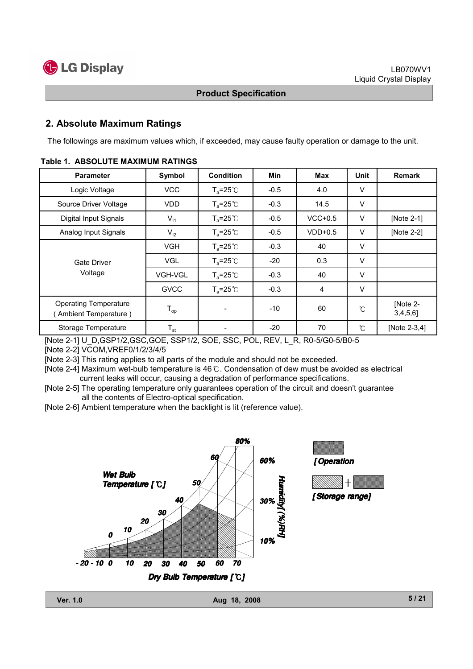**G** LG Display

#### Product Specification

#### 2. Absolute Maximum Ratings

The followings are maximum values which, if exceeded, may cause faulty operation or damage to the unit.

| <b>Parameter</b>                                     | Symbol                     | <b>Condition</b>     | Min    | <b>Max</b> | Unit   | Remark                  |
|------------------------------------------------------|----------------------------|----------------------|--------|------------|--------|-------------------------|
| Logic Voltage                                        | <b>VCC</b>                 | $T_a = 25^{\circ}C$  | $-0.5$ | 4.0        | V      |                         |
| Source Driver Voltage                                | VDD.                       | $T_a = 25^{\circ}C$  | $-0.3$ | 14.5       | V      |                         |
| Digital Input Signals                                | $V_{11}$                   | $T_a = 25^{\circ}C$  | $-0.5$ | $VCC+0.5$  | V      | [Note 2-1]              |
| Analog Input Signals                                 | $V_{12}$                   | $T_a = 25^{\circ}$ C | $-0.5$ | $VDD+0.5$  | V      | [Note 2-2]              |
| Gate Driver<br>Voltage                               | <b>VGH</b>                 | $T_a = 25^{\circ}C$  | $-0.3$ | 40         | $\vee$ |                         |
|                                                      | <b>VGL</b>                 | $T_a = 25^{\circ}C$  | $-20$  | 0.3        | $\vee$ |                         |
|                                                      | VGH-VGL                    | $T_a = 25^{\circ}C$  | $-0.3$ | 40         | V      |                         |
|                                                      | <b>GVCC</b>                | $T_a = 25^{\circ}C$  | $-0.3$ | 4          | V      |                         |
| <b>Operating Temperature</b><br>Ambient Temperature) | $\mathsf{T}_{\mathsf{op}}$ |                      | $-10$  | 60         | °C     | [Note 2-<br>$3,4,5,6$ ] |
| Storage Temperature                                  | $\mathsf{T}_{\mathsf{st}}$ |                      | $-20$  | 70         | °C     | [Note 2-3,4]            |

#### Table 1. ABSOLUTE MAXIMUM RATINGS

[Note 2-1] U\_D,GSP1/2,GSC,GOE, SSP1/2, SOE, SSC, POL, REV, L\_R, R0-5/G0-5/B0-5

[Note 2-2] VCOM,VREF0/1/2/3/4/5

[Note 2-3] This rating applies to all parts of the module and should not be exceeded.

[Note 2-4] Maximum wet-bulb temperature is 46 °C. Condensation of dew must be avoided as electrical current leaks will occur, causing a degradation of performance specifications.

[Note 2-5] The operating temperature only guarantees operation of the circuit and doesn't guarantee all the contents of Electro-optical specification.

[Note 2-6] Ambient temperature when the backlight is lit (reference value).

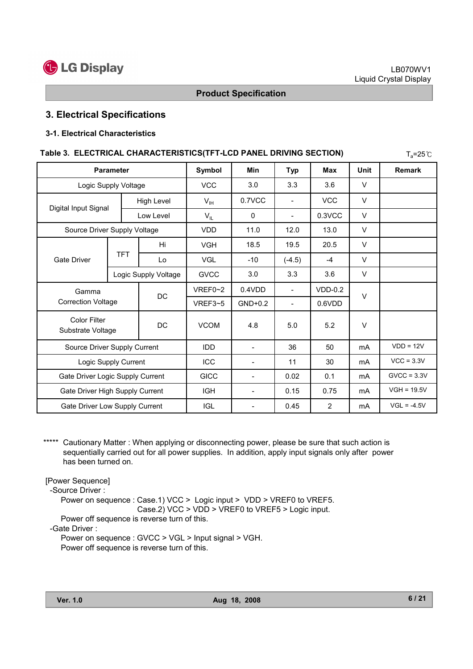

# 3. Electrical Specifications

#### 3-1. Electrical Characteristics

| Table 3. ELECTRICAL CHARACTERISTICS(TFT-LCD PANEL DRIVING SECTION) |                      |                      |                          |                          |                          |            |               | $T_a = 25^{\circ}$ C |
|--------------------------------------------------------------------|----------------------|----------------------|--------------------------|--------------------------|--------------------------|------------|---------------|----------------------|
| <b>Parameter</b>                                                   |                      | Symbol               | <b>Min</b>               | <b>Typ</b>               | <b>Max</b>               | Unit       | <b>Remark</b> |                      |
|                                                                    | Logic Supply Voltage |                      | <b>VCC</b>               | 3.0                      | 3.3                      | 3.6        | $\vee$        |                      |
|                                                                    |                      | <b>High Level</b>    | $V_{IH}$                 | 0.7VCC                   |                          | <b>VCC</b> | $\vee$        |                      |
| Digital Input Signal                                               |                      | Low Level            | $V_{IL}$                 | $\Omega$                 | $\overline{\phantom{a}}$ | 0.3VCC     | $\vee$        |                      |
| Source Driver Supply Voltage                                       |                      |                      | <b>VDD</b>               | 11.0                     | 12.0                     | 13.0       | $\vee$        |                      |
|                                                                    |                      | Hi                   | <b>VGH</b>               | 18.5                     | 19.5                     | 20.5       | $\vee$        |                      |
| <b>Gate Driver</b>                                                 | <b>TFT</b>           | Lo                   | <b>VGL</b>               | $-10$                    | $(-4.5)$                 | $-4$       | $\vee$        |                      |
|                                                                    |                      | Logic Supply Voltage | <b>GVCC</b>              | 3.0                      | 3.3                      | 3.6        | $\vee$        |                      |
| Gamma                                                              |                      | DC                   | VREF0~2                  | 0.4VDD                   | $\overline{\phantom{a}}$ | $VDD-0.2$  | $\vee$        |                      |
| <b>Correction Voltage</b>                                          |                      |                      | VREF3~5                  | $GND+0.2$                | $\overline{\phantom{0}}$ | $0.6$ VDD  |               |                      |
| <b>Color Filter</b><br>Substrate Voltage                           |                      | <b>DC</b>            | <b>VCOM</b>              | 4.8                      | 5.0                      | 5.2        | $\vee$        |                      |
| Source Driver Supply Current                                       |                      | <b>IDD</b>           | $\overline{\phantom{a}}$ | 36                       | 50                       | mA         | $VDD = 12V$   |                      |
| Logic Supply Current                                               |                      | ICC                  | $\overline{\phantom{a}}$ | 11                       | 30                       | mA         | $VCC = 3.3V$  |                      |
| Gate Driver Logic Supply Current                                   |                      | <b>GICC</b>          | $\blacksquare$           | 0.02                     | 0.1                      | mA         | $GVCC = 3.3V$ |                      |
| Gate Driver High Supply Current                                    |                      | <b>IGH</b>           | $\overline{\phantom{a}}$ | 0.15                     | 0.75                     | mA         | $VGH = 19.5V$ |                      |
| Gate Driver Low Supply Current                                     |                      |                      | <b>IGL</b>               | $\overline{\phantom{a}}$ | 0.45                     | 2          | mA            | $VGL = -4.5V$        |

\*\*\*\*\* Cautionary Matter : When applying or disconnecting power, please be sure that such action is sequentially carried out for all power supplies. In addition, apply input signals only after power has been turned on.

[Power Sequence]

-Source Driver :

Power on sequence : Case.1) VCC > Logic input > VDD > VREF0 to VREF5. Case.2) VCC > VDD > VREF0 to VREF5 > Logic input.

Power off sequence is reverse turn of this.

-Gate Driver :

Power on sequence : GVCC > VGL > Input signal > VGH. Power off sequence is reverse turn of this.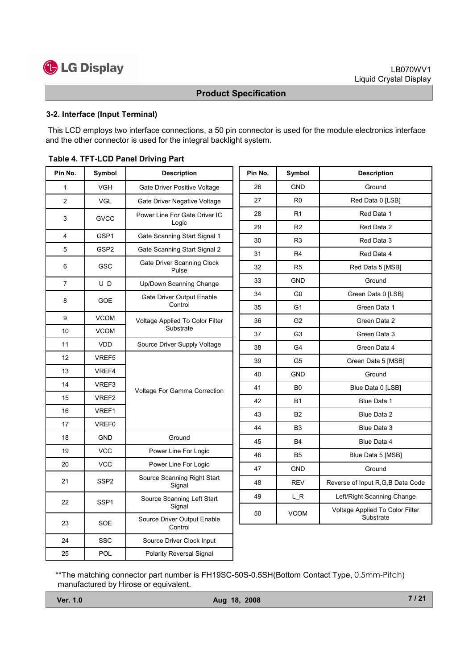

#### 3-2. Interface (Input Terminal)

This LCD employs two interface connections, a 50 pin connector is used for the module electronics interface and the other connector is used for the integral backlight system.

| Pin No.<br>Pin No.<br>Symbol<br><b>Description</b>                    | Symbol         | <b>Description</b>                           |
|-----------------------------------------------------------------------|----------------|----------------------------------------------|
| 26<br><b>VGH</b><br>1<br>Gate Driver Positive Voltage                 | <b>GND</b>     | Ground                                       |
| 27<br>$\overline{2}$<br><b>VGL</b><br>Gate Driver Negative Voltage    | R <sub>0</sub> | Red Data 0 [LSB]                             |
| 28<br>Power Line For Gate Driver IC<br>3<br><b>GVCC</b>               | R1             | Red Data 1                                   |
| Logic<br>29                                                           | R <sub>2</sub> | Red Data 2                                   |
| GSP1<br>4<br>Gate Scanning Start Signal 1<br>30                       | R <sub>3</sub> | Red Data 3                                   |
| 5<br>GSP <sub>2</sub><br>Gate Scanning Start Signal 2<br>31           | R <sub>4</sub> | Red Data 4                                   |
| Gate Driver Scanning Clock<br>6<br>GSC<br>32<br>Pulse                 | R <sub>5</sub> | Red Data 5 [MSB]                             |
| 33<br>$\overline{7}$<br>Up/Down Scanning Change<br>U D                | <b>GND</b>     | Ground                                       |
| 34<br>Gate Driver Output Enable<br>8<br><b>GOE</b>                    | G <sub>0</sub> | Green Data 0 [LSB]                           |
| Control<br>35                                                         | G <sub>1</sub> | Green Data 1                                 |
| 9<br><b>VCOM</b><br>Voltage Applied To Color Filter<br>36             | G <sub>2</sub> | Green Data 2                                 |
| Substrate<br>10<br><b>VCOM</b><br>37                                  | G <sub>3</sub> | Green Data 3                                 |
| 11<br><b>VDD</b><br>Source Driver Supply Voltage<br>38                | G <sub>4</sub> | Green Data 4                                 |
| 12<br>VREF5<br>39                                                     | G5             | Green Data 5 [MSB]                           |
| 13<br>VREF4<br>40                                                     | <b>GND</b>     | Ground                                       |
| 14<br>VREF3<br>41<br>Voltage For Gamma Correction                     | B <sub>0</sub> | Blue Data 0 [LSB]                            |
| 15<br>VREF2<br>42                                                     | <b>B1</b>      | Blue Data 1                                  |
| VREF1<br>16<br>43                                                     | <b>B2</b>      | Blue Data 2                                  |
| 17<br><b>VREF0</b><br>44                                              | B <sub>3</sub> | Blue Data 3                                  |
| Ground<br>18<br><b>GND</b><br>45                                      | <b>B4</b>      | Blue Data 4                                  |
| 19<br><b>VCC</b><br>Power Line For Logic<br>46                        | <b>B5</b>      | Blue Data 5 [MSB]                            |
| <b>VCC</b><br>20<br>Power Line For Logic<br>47                        | <b>GND</b>     | Ground                                       |
| Source Scanning Right Start<br>21<br>SSP <sub>2</sub><br>48<br>Signal | <b>REV</b>     | Reverse of Input R,G,B Data Code             |
| 49<br>Source Scanning Left Start<br>SSP <sub>1</sub><br>22            | L R            | Left/Right Scanning Change                   |
| Signal<br>50<br>Source Driver Output Enable<br>SOE<br>23<br>Control   | <b>VCOM</b>    | Voltage Applied To Color Filter<br>Substrate |
| 24<br><b>SSC</b><br>Source Driver Clock Input                         |                |                                              |
| <b>POL</b><br>25<br><b>Polarity Reversal Signal</b>                   |                |                                              |

#### Table 4. TFT-LCD Panel Driving Part

\*\*The matching connector part number is FH19SC-50S-0.5SH(Bottom Contact Type, 0.5mm-Pitch) manufactured by Hirose or equivalent.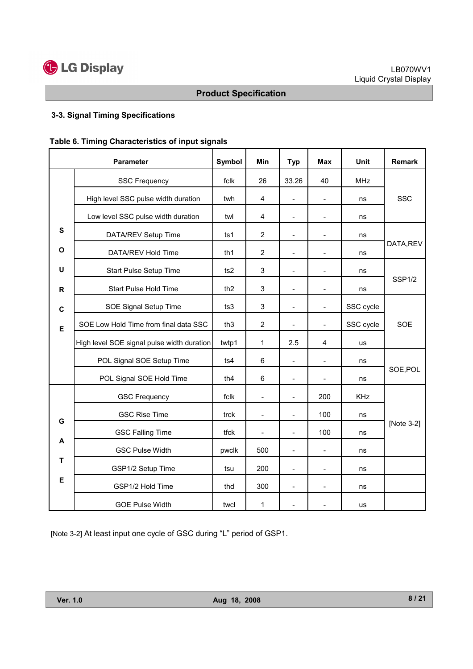

# 3-3. Signal Timing Specifications

| Table 6. Timing Characteristics of input signals |  |
|--------------------------------------------------|--|
|--------------------------------------------------|--|

|              | <b>Parameter</b>                           | Symbol          | Min                        | <b>Typ</b>               | Max                          | Unit           | <b>Remark</b> |  |
|--------------|--------------------------------------------|-----------------|----------------------------|--------------------------|------------------------------|----------------|---------------|--|
|              | <b>SSC Frequency</b>                       | fclk            | 26                         | 33.26                    | 40                           | <b>MHz</b>     |               |  |
|              | High level SSC pulse width duration        | twh             | $\overline{\mathbf{4}}$    | $\blacksquare$           | $\overline{a}$               | ns             | <b>SSC</b>    |  |
|              | Low level SSC pulse width duration         | twl             | 4                          | $\overline{\phantom{a}}$ | $\overline{a}$               | ns             |               |  |
| S            | DATA/REV Setup Time                        | ts <sub>1</sub> | $\overline{2}$             |                          |                              | ns             |               |  |
| O            | DATA/REV Hold Time                         | th <sub>1</sub> | $\overline{2}$             | $\overline{\phantom{a}}$ |                              | ns             | DATA, REV     |  |
| U            | Start Pulse Setup Time                     | ts2             | 3                          | $\overline{\phantom{a}}$ | $\qquad \qquad \blacksquare$ | ns             |               |  |
| $\mathsf{R}$ | <b>Start Pulse Hold Time</b>               | th <sub>2</sub> | 3                          | $\overline{a}$           | $\overline{\phantom{a}}$     | ns             | <b>SSP1/2</b> |  |
| C            | SOE Signal Setup Time                      | ts3             | 3                          | $\blacksquare$           | $\overline{a}$               | SSC cycle      |               |  |
| E            | SOE Low Hold Time from final data SSC      | th <sub>3</sub> | $\overline{2}$             | $\blacksquare$           | $\overline{a}$               | SSC cycle      | <b>SOE</b>    |  |
|              | High level SOE signal pulse width duration | twtp1           | 2.5<br>1<br>4<br><b>us</b> |                          |                              |                |               |  |
|              | POL Signal SOE Setup Time                  | ts4             | 6                          | $\overline{a}$           |                              | ns             |               |  |
|              | POL Signal SOE Hold Time                   | th <sub>4</sub> | 6                          | $\blacksquare$           | $\overline{a}$               | SOE, POL<br>ns |               |  |
|              | <b>GSC Frequency</b>                       | fclk            | $\frac{1}{2}$              |                          | 200                          | <b>KHz</b>     |               |  |
| G            | <b>GSC Rise Time</b>                       | trck            | $\overline{\phantom{a}}$   | $\overline{\phantom{a}}$ | 100                          | ns             |               |  |
|              | <b>GSC Falling Time</b>                    | tfck            | $\blacksquare$             | $\blacksquare$           | 100                          | ns             | [Note 3-2]    |  |
| A            | <b>GSC Pulse Width</b>                     | pwclk           | 500                        |                          | $\overline{a}$               | ns             |               |  |
| T            | GSP1/2 Setup Time                          | tsu             | 200                        | $\blacksquare$           |                              | ns             |               |  |
| Е            | GSP1/2 Hold Time                           | thd             | 300                        | $\blacksquare$           | $\overline{a}$               | ns             |               |  |
|              | <b>GOE Pulse Width</b>                     | twcl            | 1                          |                          |                              | us             |               |  |

[Note 3-2] At least input one cycle of GSC during "L" period of GSP1.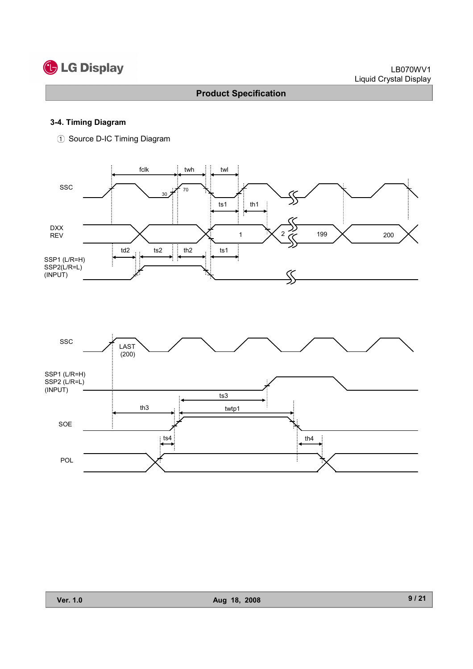# **C** LG Display

# Product Specification

#### 3-4. Timing Diagram

1 Source D-IC Timing Diagram



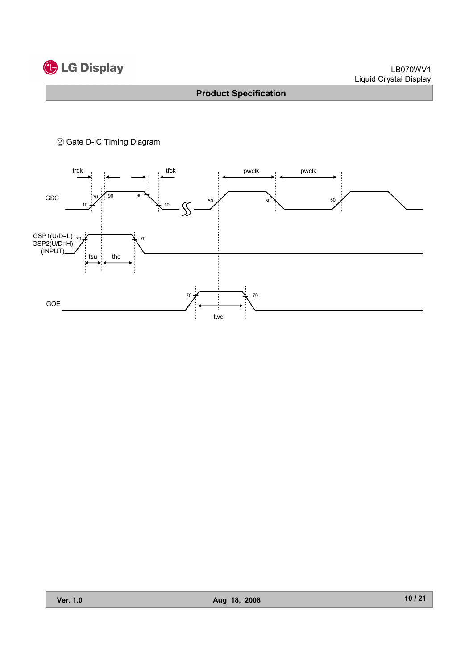

#### 2 Gate D-IC Timing Diagram

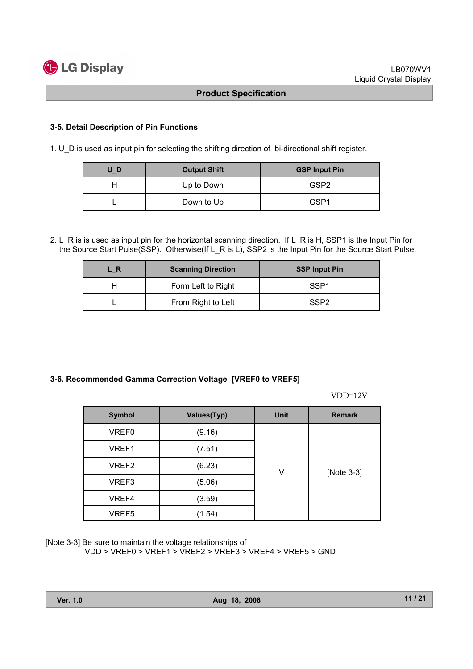#### 3-5. Detail Description of Pin Functions

1. U\_D is used as input pin for selecting the shifting direction of bi-directional shift register.

| UD | <b>Output Shift</b> | <b>GSP Input Pin</b> |  |
|----|---------------------|----------------------|--|
|    | Up to Down          | GSP <sub>2</sub>     |  |
|    | Down to Up          | GSP1                 |  |

2. L\_R is is used as input pin for the horizontal scanning direction. If L\_R is H, SSP1 is the Input Pin for the Source Start Pulse(SSP). Otherwise(If L\_R is L), SSP2 is the Input Pin for the Source Start Pulse.

| . R | <b>Scanning Direction</b> | <b>SSP Input Pin</b> |  |
|-----|---------------------------|----------------------|--|
|     | Form Left to Right        | SSP <sub>1</sub>     |  |
|     | From Right to Left        | SSP <sub>2</sub>     |  |

#### 3-6. Recommended Gamma Correction Voltage [VREF0 to VREF5]

VDD=12V

| <b>Symbol</b> | <b>Values(Typ)</b> | <b>Unit</b> | <b>Remark</b> |  |  |
|---------------|--------------------|-------------|---------------|--|--|
| VREF0         | (9.16)             |             |               |  |  |
| VREF1         | (7.51)             |             |               |  |  |
| VREF2         | (6.23)             | V           | [Note 3-3]    |  |  |
| VREF3         | (5.06)             |             |               |  |  |
| VREF4         | (3.59)             |             |               |  |  |
| VREF5         | (1.54)             |             |               |  |  |

[Note 3-3] Be sure to maintain the voltage relationships of

VDD > VREF0 > VREF1 > VREF2 > VREF3 > VREF4 > VREF5 > GND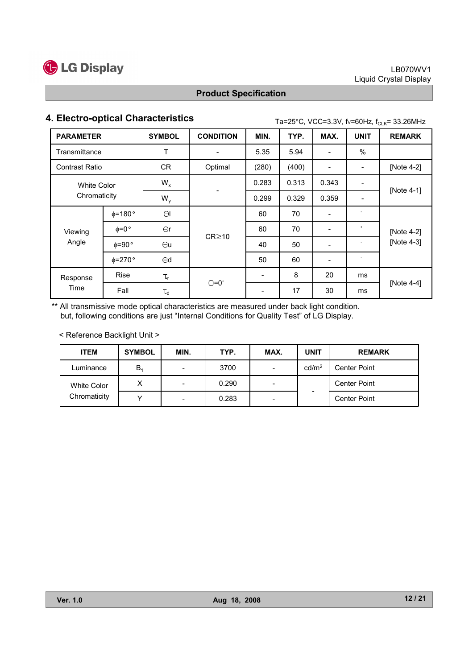

# 4. Electro-optical Characteristics  $\text{Ta=25}^{\circ}$ C, VCC=3.3V, fv=60Hz, f<sub>CLK</sub>= 33.26MHz

| <b>PARAMETER</b>                   |                        | <b>SYMBOL</b>  | <b>CONDITION</b>         | MIN.  | TYP.  | MAX.  | <b>UNIT</b>                  | <b>REMARK</b> |  |
|------------------------------------|------------------------|----------------|--------------------------|-------|-------|-------|------------------------------|---------------|--|
| Transmittance                      |                        | Τ              |                          | 5.35  | 5.94  |       | %                            |               |  |
| <b>Contrast Ratio</b>              |                        | <b>CR</b>      | Optimal                  | (280) | (400) |       | $\qquad \qquad \blacksquare$ | [Note 4-2]    |  |
| <b>White Color</b><br>Chromaticity |                        | $W_{x}$        |                          | 0.283 | 0.313 | 0.343 |                              | [Note 4-1]    |  |
|                                    |                        | $W_{v}$        | $\overline{\phantom{a}}$ | 0.299 | 0.329 | 0.359 | $\blacksquare$               |               |  |
|                                    | $\phi$ =180 $^{\circ}$ | $\Theta$       |                          | 60    | 70    |       | $\circ$                      |               |  |
| Viewing                            | $\phi = 0$ °           | $\Theta$ r     | $CR \ge 10$              | 60    | 70    |       | $\circ$                      | [Note 4-2]    |  |
| Angle                              | $\phi = 90^{\circ}$    | $\Theta$ u     |                          | 40    | 50    |       | $\circ$                      | [Note 4-3]    |  |
|                                    | $\phi = 270$ °         | $\Theta$ d     |                          | 50    | 60    |       | $\circ$                      |               |  |
| Response<br>Time                   | <b>Rise</b>            | $\tau_{\sf r}$ |                          |       | 8     | 20    | ms                           |               |  |
|                                    | Fall                   | $\tau_{\sf d}$ | $\Theta = 0^{\circ}$     |       | 17    | 30    | ms                           | [Note $4-4$ ] |  |

\*\* All transmissive mode optical characteristics are measured under back light condition. but, following conditions are just "Internal Conditions for Quality Test" of LG Display.

< Reference Backlight Unit >

| <b>ITEM</b>        | <b>SYMBOL</b>  | MIN. | TYP.  | MAX.                     | <b>UNIT</b>       | <b>REMARK</b>       |
|--------------------|----------------|------|-------|--------------------------|-------------------|---------------------|
| Luminance          | B <sub>1</sub> |      | 3700  | $\overline{\phantom{0}}$ | cd/m <sup>2</sup> | <b>Center Point</b> |
| <b>White Color</b> | Χ              |      | 0.290 | -                        |                   | <b>Center Point</b> |
| Chromaticity       |                |      | 0.283 | $\overline{\phantom{a}}$ |                   | <b>Center Point</b> |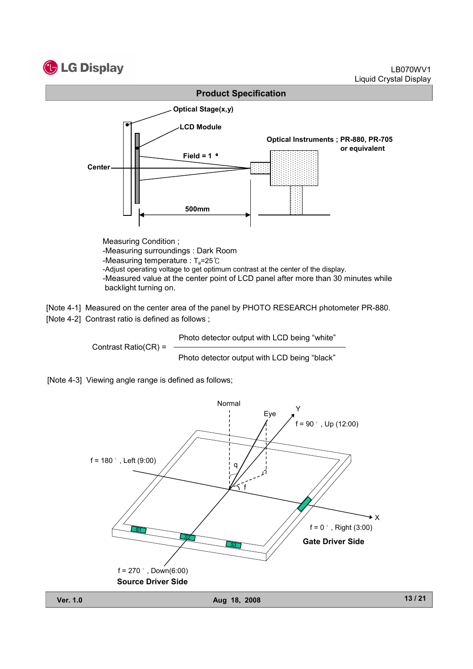



[Note 4-1] Measured on the center area of the panel by PHOTO RESEARCH photometer PR-880. [Note 4-2] Contrast ratio is defined as follows ;

Contrast Ratio(CR) =

Photo detector output with LCD being "white"

Photo detector output with LCD being "black"



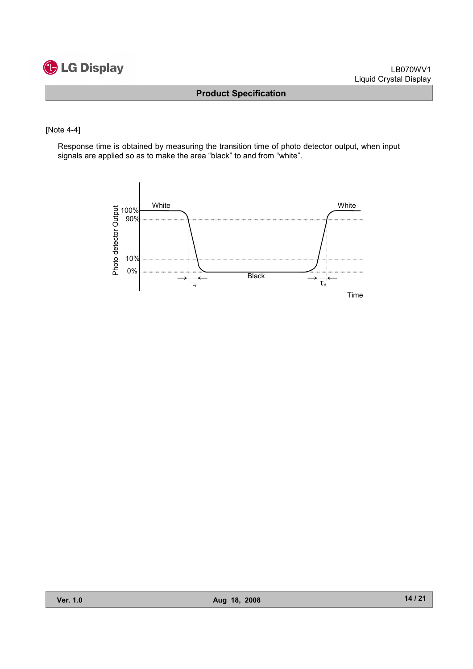

#### [Note 4-4]

Response time is obtained by measuring the transition time of photo detector output, when input signals are applied so as to make the area "black" to and from "white".

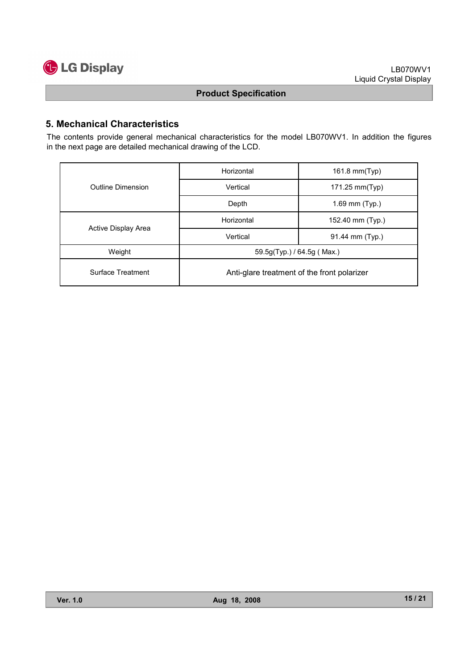

# 5. Mechanical Characteristics

The contents provide general mechanical characteristics for the model LB070WV1. In addition the figures in the next page are detailed mechanical drawing of the LCD.

|                     | Horizontal                                  | 161.8 mm(Typ)    |  |  |  |
|---------------------|---------------------------------------------|------------------|--|--|--|
| Outline Dimension   | Vertical                                    | 171.25 mm(Typ)   |  |  |  |
|                     | Depth                                       | 1.69 mm (Typ.)   |  |  |  |
|                     | Horizontal                                  | 152.40 mm (Typ.) |  |  |  |
| Active Display Area | Vertical                                    | 91.44 mm (Typ.)  |  |  |  |
| Weight              | $59.5g(Typ.)$ / 64.5g (Max.)                |                  |  |  |  |
| Surface Treatment   | Anti-glare treatment of the front polarizer |                  |  |  |  |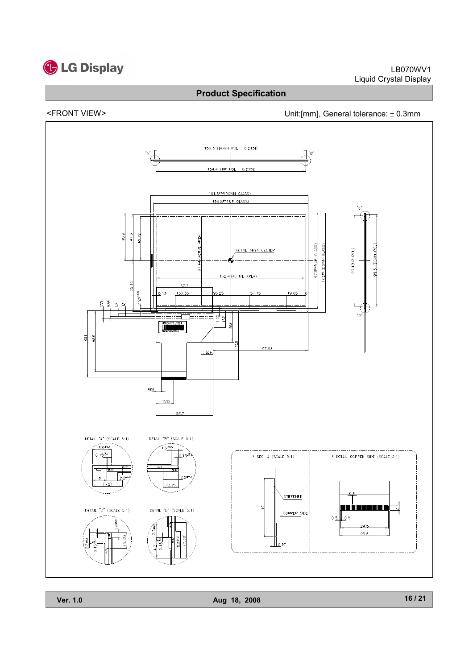

# <FRONT VIEW> Unit:[mm], General tolerance: ± 0.3mm



Ver. 1.0 Aug 18, 2008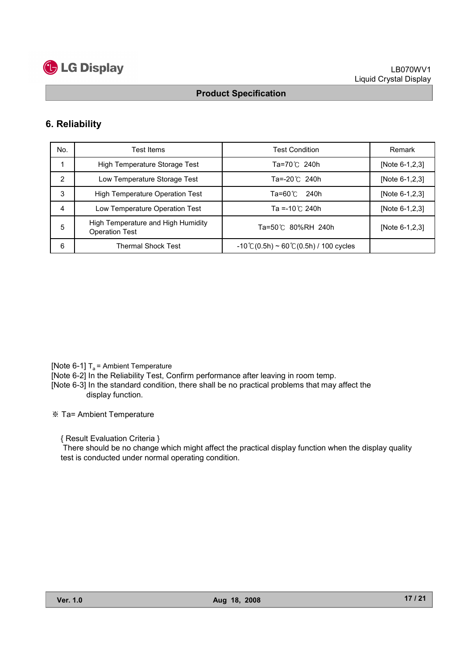

### 6. Reliability

| No. | Test Items                                                  | <b>Test Condition</b>                                   | Remark         |
|-----|-------------------------------------------------------------|---------------------------------------------------------|----------------|
|     | High Temperature Storage Test                               | Ta=70℃ 240h                                             | [Note 6-1,2,3] |
| 2   | Low Temperature Storage Test                                | Ta=-20℃ 240h                                            | [Note 6-1,2,3] |
| 3   | <b>High Temperature Operation Test</b>                      | 240h<br>Ta=60℃                                          | [Note 6-1,2,3] |
| 4   | Low Temperature Operation Test                              | Ta =-10 $^{\circ}$ C 240h                               | [Note 6-1,2,3] |
| 5   | High Temperature and High Humidity<br><b>Operation Test</b> | Ta=50℃ 80%RH 240h                                       | [Note 6-1,2,3] |
| 6   | <b>Thermal Shock Test</b>                                   | $-10^{\circ}$ C(0.5h) ~ 60 $\circ$ C(0.5h) / 100 cycles |                |

[Note 6-1]  $T_a$  = Ambient Temperature

[Note 6-2] In the Reliability Test, Confirm performance after leaving in room temp.

[Note 6-3] In the standard condition, there shall be no practical problems that may affect the display function.

Ta= Ambient Temperature

{ Result Evaluation Criteria }

There should be no change which might affect the practical display function when the display quality test is conducted under normal operating condition.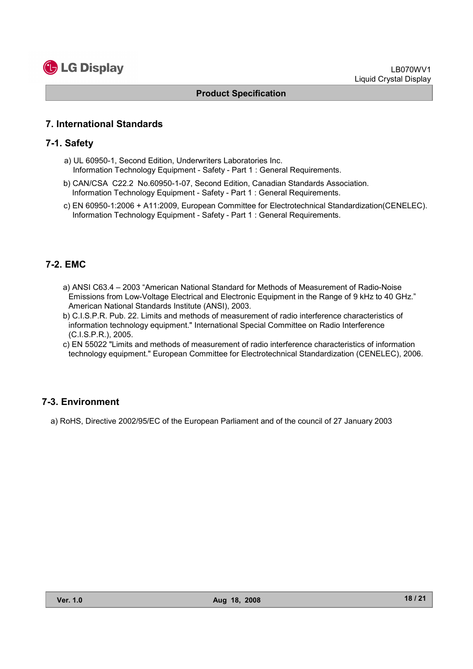

#### 7. International Standards

#### 7-1. Safety

- a) UL 60950-1, Second Edition, Underwriters Laboratories Inc. Information Technology Equipment - Safety - Part 1 : General Requirements.
- b) CAN/CSA C22.2 No.60950-1-07, Second Edition, Canadian Standards Association. Information Technology Equipment - Safety - Part 1 : General Requirements.
- c) EN 60950-1:2006 + A11:2009, European Committee for Electrotechnical Standardization(CENELEC). Information Technology Equipment - Safety - Part 1 : General Requirements.

### 7-2. EMC

- a) ANSI C63.4 2003 "American National Standard for Methods of Measurement of Radio-Noise Emissions from Low-Voltage Electrical and Electronic Equipment in the Range of 9 kHz to 40 GHz." American National Standards Institute (ANSI), 2003.
- b) C.I.S.P.R. Pub. 22. Limits and methods of measurement of radio interference characteristics of information technology equipment." International Special Committee on Radio Interference (C.I.S.P.R.), 2005.
- c) EN 55022 "Limits and methods of measurement of radio interference characteristics of information technology equipment." European Committee for Electrotechnical Standardization (CENELEC), 2006.

#### 7-3. Environment

a) RoHS, Directive 2002/95/EC of the European Parliament and of the council of 27 January 2003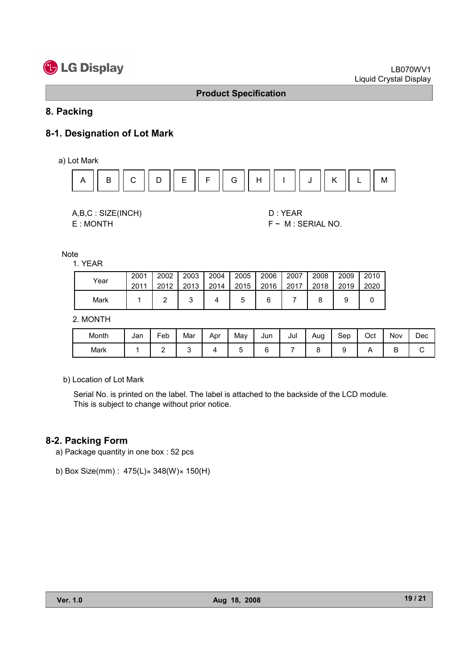# **C** LG Display

#### Product Specification

## 8. Packing

# 8-1. Designation of Lot Mark

a) Lot Mark



| A,B,C: SIZE(INCH) |
|-------------------|
| E: MONTH          |

D : YEAR  $F ~ M : SERIAL NO.$ 

Note

|      | 2001 | 2002 | 2003 | 2004 | 2005 | 2006 | 2007 | 2008 | 2009 | 2010 |
|------|------|------|------|------|------|------|------|------|------|------|
| Year | 2011 | 2012 | 2013 | 2014 | 2015 | 2016 | 2017 | 2018 | 2019 | 2020 |
| Mark |      |      |      |      |      |      |      |      |      |      |

2. MONTH

| Month | Jan | -<br>Feb | Mar | Apr | Mav | Jun | Jul | Aug | Sep | Oct | Nov | Dec |
|-------|-----|----------|-----|-----|-----|-----|-----|-----|-----|-----|-----|-----|
| Mark  |     |          |     |     |     | ∽   |     |     |     |     | ◡   |     |

b) Location of Lot Mark

Serial No. is printed on the label. The label is attached to the backside of the LCD module. This is subject to change without prior notice.

#### 8-2. Packing Form

- a) Package quantity in one box : 52 pcs
- b) Box Size(mm) : 475(L)× 348(W)× 150(H)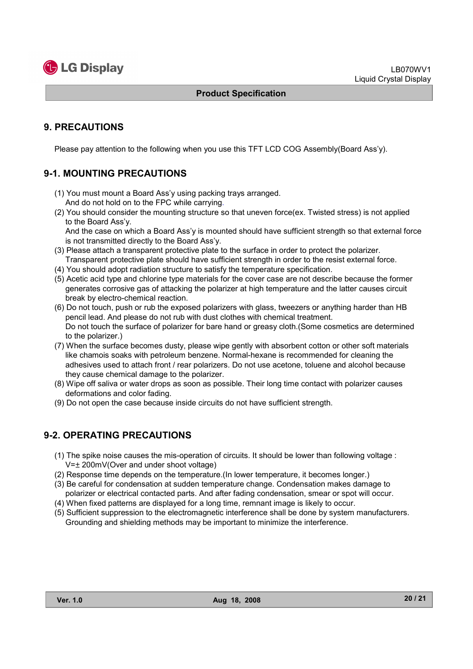

# 9. PRECAUTIONS

Please pay attention to the following when you use this TFT LCD COG Assembly(Board Ass'y).

# 9-1. MOUNTING PRECAUTIONS

- (1) You must mount a Board Ass'y using packing trays arranged. And do not hold on to the FPC while carrying.
- (2) You should consider the mounting structure so that uneven force(ex. Twisted stress) is not applied to the Board Ass'y.

And the case on which a Board Ass'y is mounted should have sufficient strength so that external force is not transmitted directly to the Board Ass'y.

- (3) Please attach a transparent protective plate to the surface in order to protect the polarizer. Transparent protective plate should have sufficient strength in order to the resist external force.
- (4) You should adopt radiation structure to satisfy the temperature specification.
- (5) Acetic acid type and chlorine type materials for the cover case are not describe because the former generates corrosive gas of attacking the polarizer at high temperature and the latter causes circuit break by electro-chemical reaction.
- (6) Do not touch, push or rub the exposed polarizers with glass, tweezers or anything harder than HB pencil lead. And please do not rub with dust clothes with chemical treatment. Do not touch the surface of polarizer for bare hand or greasy cloth.(Some cosmetics are determined to the polarizer.)
- (7) When the surface becomes dusty, please wipe gently with absorbent cotton or other soft materials like chamois soaks with petroleum benzene. Normal-hexane is recommended for cleaning the adhesives used to attach front / rear polarizers. Do not use acetone, toluene and alcohol because they cause chemical damage to the polarizer.
- (8) Wipe off saliva or water drops as soon as possible. Their long time contact with polarizer causes deformations and color fading.
- (9) Do not open the case because inside circuits do not have sufficient strength.

# 9-2. OPERATING PRECAUTIONS

- (1) The spike noise causes the mis-operation of circuits. It should be lower than following voltage : V=± 200mV(Over and under shoot voltage)
- (2) Response time depends on the temperature.(In lower temperature, it becomes longer.)
- (3) Be careful for condensation at sudden temperature change. Condensation makes damage to polarizer or electrical contacted parts. And after fading condensation, smear or spot will occur.
- (4) When fixed patterns are displayed for a long time, remnant image is likely to occur.
- (5) Sufficient suppression to the electromagnetic interference shall be done by system manufacturers. Grounding and shielding methods may be important to minimize the interference.